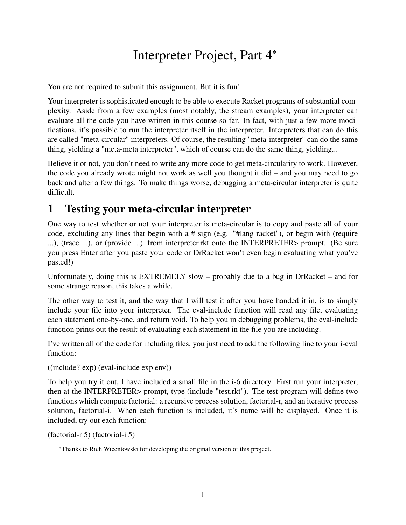## Interpreter Project, Part 4\*

You are not required to submit this assignment. But it is fun!

Your interpreter is sophisticated enough to be able to execute Racket programs of substantial complexity. Aside from a few examples (most notably, the stream examples), your interpreter can evaluate all the code you have written in this course so far. In fact, with just a few more modifications, it's possible to run the interpreter itself in the interpreter. Interpreters that can do this are called "meta-circular" interpreters. Of course, the resulting "meta-interpreter" can do the same thing, yielding a "meta-meta interpreter", which of course can do the same thing, yielding...

Believe it or not, you don't need to write any more code to get meta-circularity to work. However, the code you already wrote might not work as well you thought it did – and you may need to go back and alter a few things. To make things worse, debugging a meta-circular interpreter is quite difficult.

## 1 Testing your meta-circular interpreter

One way to test whether or not your interpreter is meta-circular is to copy and paste all of your code, excluding any lines that begin with a # sign (e.g. "#lang racket"), or begin with (require ...), (trace ...), or (provide ...) from interpreter.rkt onto the INTERPRETER> prompt. (Be sure you press Enter after you paste your code or DrRacket won't even begin evaluating what you've pasted!)

Unfortunately, doing this is EXTREMELY slow – probably due to a bug in DrRacket – and for some strange reason, this takes a while.

The other way to test it, and the way that I will test it after you have handed it in, is to simply include your file into your interpreter. The eval-include function will read any file, evaluating each statement one-by-one, and return void. To help you in debugging problems, the eval-include function prints out the result of evaluating each statement in the file you are including.

I've written all of the code for including files, you just need to add the following line to your i-eval function:

((include? exp) (eval-include exp env))

To help you try it out, I have included a small file in the i-6 directory. First run your interpreter, then at the INTERPRETER> prompt, type (include "test.rkt"). The test program will define two functions which compute factorial: a recursive process solution, factorial-r, and an iterative process solution, factorial-i. When each function is included, it's name will be displayed. Once it is included, try out each function:

(factorial-r 5) (factorial-i 5)

<sup>\*</sup>Thanks to Rich Wicentowski for developing the original version of this project.